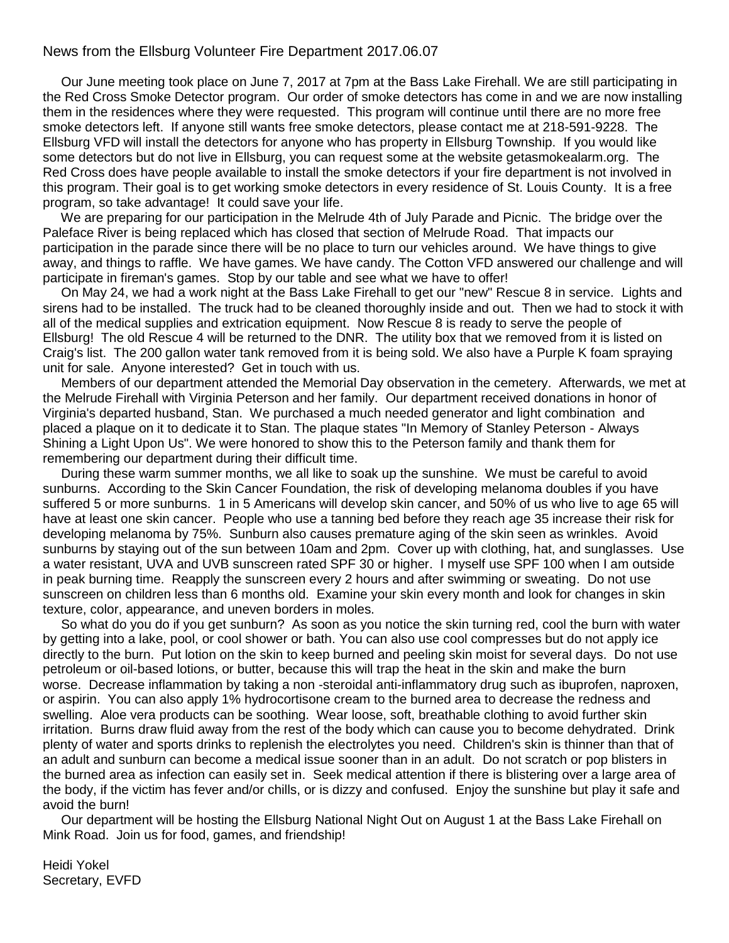## News from the Ellsburg Volunteer Fire Department 2017.06.07

 Our June meeting took place on June 7, 2017 at 7pm at the Bass Lake Firehall. We are still participating in the Red Cross Smoke Detector program. Our order of smoke detectors has come in and we are now installing them in the residences where they were requested. This program will continue until there are no more free smoke detectors left. If anyone still wants free smoke detectors, please contact me at 218-591-9228. The Ellsburg VFD will install the detectors for anyone who has property in Ellsburg Township. If you would like some detectors but do not live in Ellsburg, you can request some at the website getasmokealarm.org. The Red Cross does have people available to install the smoke detectors if your fire department is not involved in this program. Their goal is to get working smoke detectors in every residence of St. Louis County. It is a free program, so take advantage! It could save your life.

 We are preparing for our participation in the Melrude 4th of July Parade and Picnic. The bridge over the Paleface River is being replaced which has closed that section of Melrude Road. That impacts our participation in the parade since there will be no place to turn our vehicles around. We have things to give away, and things to raffle. We have games. We have candy. The Cotton VFD answered our challenge and will participate in fireman's games. Stop by our table and see what we have to offer!

 On May 24, we had a work night at the Bass Lake Firehall to get our "new" Rescue 8 in service. Lights and sirens had to be installed. The truck had to be cleaned thoroughly inside and out. Then we had to stock it with all of the medical supplies and extrication equipment. Now Rescue 8 is ready to serve the people of Ellsburg! The old Rescue 4 will be returned to the DNR. The utility box that we removed from it is listed on Craig's list. The 200 gallon water tank removed from it is being sold. We also have a Purple K foam spraying unit for sale. Anyone interested? Get in touch with us.

 Members of our department attended the Memorial Day observation in the cemetery. Afterwards, we met at the Melrude Firehall with Virginia Peterson and her family. Our department received donations in honor of Virginia's departed husband, Stan. We purchased a much needed generator and light combination and placed a plaque on it to dedicate it to Stan. The plaque states "In Memory of Stanley Peterson - Always Shining a Light Upon Us". We were honored to show this to the Peterson family and thank them for remembering our department during their difficult time.

 During these warm summer months, we all like to soak up the sunshine. We must be careful to avoid sunburns. According to the Skin Cancer Foundation, the risk of developing melanoma doubles if you have suffered 5 or more sunburns. 1 in 5 Americans will develop skin cancer, and 50% of us who live to age 65 will have at least one skin cancer. People who use a tanning bed before they reach age 35 increase their risk for developing melanoma by 75%. Sunburn also causes premature aging of the skin seen as wrinkles. Avoid sunburns by staying out of the sun between 10am and 2pm. Cover up with clothing, hat, and sunglasses. Use a water resistant, UVA and UVB sunscreen rated SPF 30 or higher. I myself use SPF 100 when I am outside in peak burning time. Reapply the sunscreen every 2 hours and after swimming or sweating. Do not use sunscreen on children less than 6 months old. Examine your skin every month and look for changes in skin texture, color, appearance, and uneven borders in moles.

 So what do you do if you get sunburn? As soon as you notice the skin turning red, cool the burn with water by getting into a lake, pool, or cool shower or bath. You can also use cool compresses but do not apply ice directly to the burn. Put lotion on the skin to keep burned and peeling skin moist for several days. Do not use petroleum or oil-based lotions, or butter, because this will trap the heat in the skin and make the burn worse. Decrease inflammation by taking a non -steroidal anti-inflammatory drug such as ibuprofen, naproxen, or aspirin. You can also apply 1% hydrocortisone cream to the burned area to decrease the redness and swelling. Aloe vera products can be soothing. Wear loose, soft, breathable clothing to avoid further skin irritation. Burns draw fluid away from the rest of the body which can cause you to become dehydrated. Drink plenty of water and sports drinks to replenish the electrolytes you need. Children's skin is thinner than that of an adult and sunburn can become a medical issue sooner than in an adult. Do not scratch or pop blisters in the burned area as infection can easily set in. Seek medical attention if there is blistering over a large area of the body, if the victim has fever and/or chills, or is dizzy and confused. Enjoy the sunshine but play it safe and avoid the burn!

 Our department will be hosting the Ellsburg National Night Out on August 1 at the Bass Lake Firehall on Mink Road. Join us for food, games, and friendship!

Heidi Yokel Secretary, EVFD